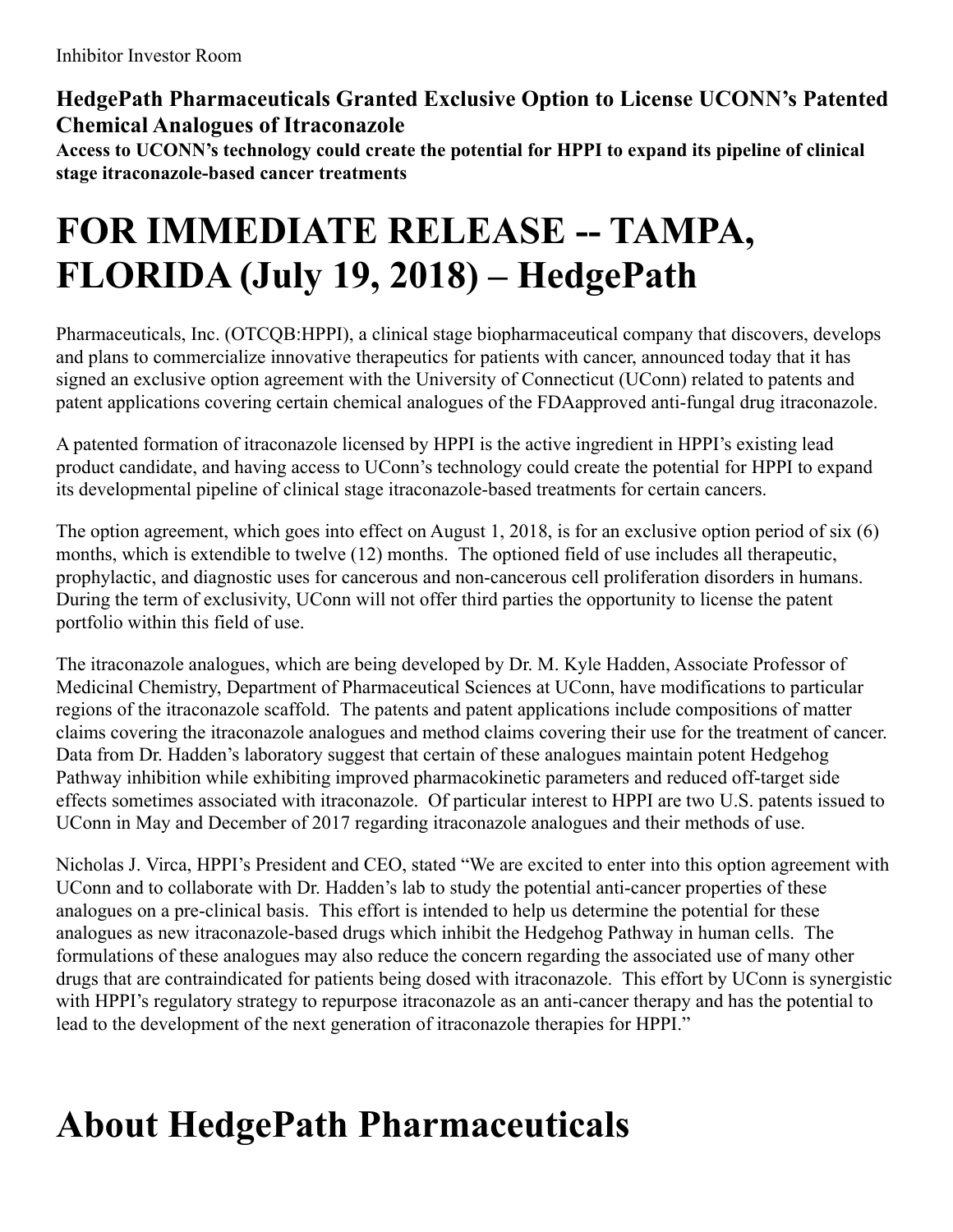#### **HedgePath Pharmaceuticals Granted Exclusive Option to License UCONN's Patented Chemical Analogues of Itraconazole**

**Access to UCONN's technology could create the potential for HPPI to expand its pipeline of clinical stage itraconazole-based cancer treatments**

#### **FOR IMMEDIATE RELEASE -- TAMPA, FLORIDA (July 19, 2018) – HedgePath**

Pharmaceuticals, Inc. (OTCQB:HPPI), a clinical stage biopharmaceutical company that discovers, develops and plans to commercialize innovative therapeutics for patients with cancer, announced today that it has signed an exclusive option agreement with the University of Connecticut (UConn) related to patents and patent applications covering certain chemical analogues of the FDAapproved anti-fungal drug itraconazole.

A patented formation of itraconazole licensed by HPPI is the active ingredient in HPPI's existing lead product candidate, and having access to UConn's technology could create the potential for HPPI to expand its developmental pipeline of clinical stage itraconazole-based treatments for certain cancers.

The option agreement, which goes into effect on August 1, 2018, is for an exclusive option period of six (6) months, which is extendible to twelve (12) months. The optioned field of use includes all therapeutic, prophylactic, and diagnostic uses for cancerous and non-cancerous cell proliferation disorders in humans. During the term of exclusivity, UConn will not offer third parties the opportunity to license the patent portfolio within this field of use.

The itraconazole analogues, which are being developed by Dr. M. Kyle Hadden, Associate Professor of Medicinal Chemistry, Department of Pharmaceutical Sciences at UConn, have modifications to particular regions of the itraconazole scaffold. The patents and patent applications include compositions of matter claims covering the itraconazole analogues and method claims covering their use for the treatment of cancer. Data from Dr. Hadden's laboratory suggest that certain of these analogues maintain potent Hedgehog Pathway inhibition while exhibiting improved pharmacokinetic parameters and reduced off-target side effects sometimes associated with itraconazole. Of particular interest to HPPI are two U.S. patents issued to UConn in May and December of 2017 regarding itraconazole analogues and their methods of use.

Nicholas J. Virca, HPPI's President and CEO, stated "We are excited to enter into this option agreement with UConn and to collaborate with Dr. Hadden's lab to study the potential anti-cancer properties of these analogues on a pre-clinical basis. This effort is intended to help us determine the potential for these analogues as new itraconazole-based drugs which inhibit the Hedgehog Pathway in human cells. The formulations of these analogues may also reduce the concern regarding the associated use of many other drugs that are contraindicated for patients being dosed with itraconazole. This effort by UConn is synergistic with HPPI's regulatory strategy to repurpose itraconazole as an anti-cancer therapy and has the potential to lead to the development of the next generation of itraconazole therapies for HPPI."

# **About HedgePath Pharmaceuticals**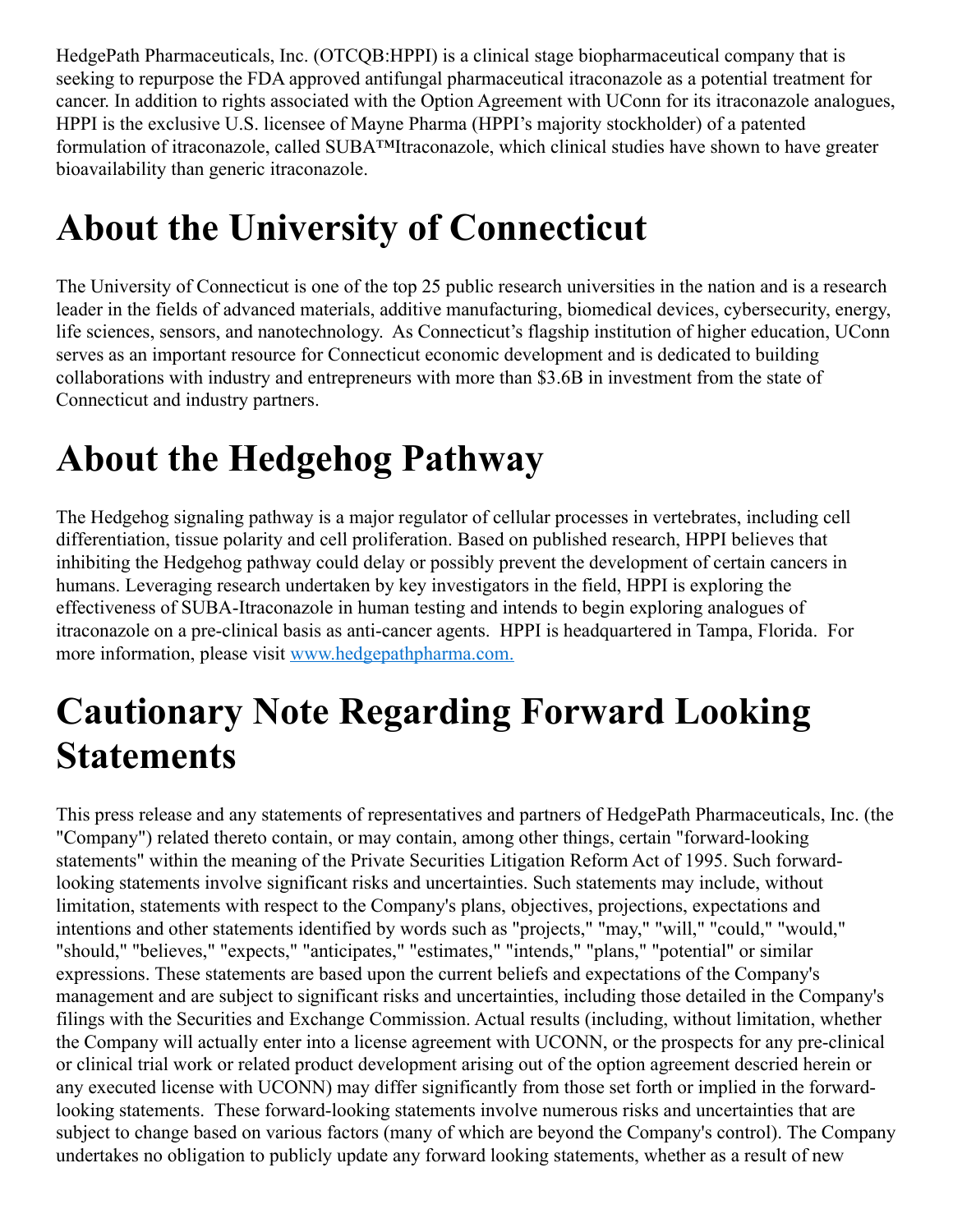HedgePath Pharmaceuticals, Inc. (OTCQB:HPPI) is a clinical stage biopharmaceutical company that is seeking to repurpose the FDA approved antifungal pharmaceutical itraconazole as a potential treatment for cancer. In addition to rights associated with the Option Agreement with UConn for its itraconazole analogues, HPPI is the exclusive U.S. licensee of Mayne Pharma (HPPI's majority stockholder) of a patented formulation of itraconazole, called SUBA™Itraconazole, which clinical studies have shown to have greater bioavailability than generic itraconazole.

## **About the University of Connecticut**

The University of Connecticut is one of the top 25 public research universities in the nation and is a research leader in the fields of advanced materials, additive manufacturing, biomedical devices, cybersecurity, energy, life sciences, sensors, and nanotechnology. As Connecticut's flagship institution of higher education, UConn serves as an important resource for Connecticut economic development and is dedicated to building collaborations with industry and entrepreneurs with more than \$3.6B in investment from the state of Connecticut and industry partners.

## **About the Hedgehog Pathway**

The Hedgehog signaling pathway is a major regulator of cellular processes in vertebrates, including cell differentiation, tissue polarity and cell proliferation. Based on published research, HPPI believes that inhibiting the Hedgehog pathway could delay or possibly prevent the development of certain cancers in humans. Leveraging research undertaken by key investigators in the field, HPPI is exploring the effectiveness of SUBA-Itraconazole in human testing and intends to begin exploring analogues of itraconazole on a pre-clinical basis as anti-cancer agents. HPPI is headquartered in Tampa, Florida. For more information, please visit [www.hedgepathpharma.com.](http://www.hedgepathpharma.com/)

#### **Cautionary Note Regarding Forward Looking Statements**

This press release and any statements of representatives and partners of HedgePath Pharmaceuticals, Inc. (the "Company") related thereto contain, or may contain, among other things, certain "forward-looking statements" within the meaning of the Private Securities Litigation Reform Act of 1995. Such forwardlooking statements involve significant risks and uncertainties. Such statements may include, without limitation, statements with respect to the Company's plans, objectives, projections, expectations and intentions and other statements identified by words such as "projects," "may," "will," "could," "would," "should," "believes," "expects," "anticipates," "estimates," "intends," "plans," "potential" or similar expressions. These statements are based upon the current beliefs and expectations of the Company's management and are subject to significant risks and uncertainties, including those detailed in the Company's filings with the Securities and Exchange Commission. Actual results (including, without limitation, whether the Company will actually enter into a license agreement with UCONN, or the prospects for any pre-clinical or clinical trial work or related product development arising out of the option agreement descried herein or any executed license with UCONN) may differ significantly from those set forth or implied in the forwardlooking statements. These forward-looking statements involve numerous risks and uncertainties that are subject to change based on various factors (many of which are beyond the Company's control). The Company undertakes no obligation to publicly update any forward looking statements, whether as a result of new